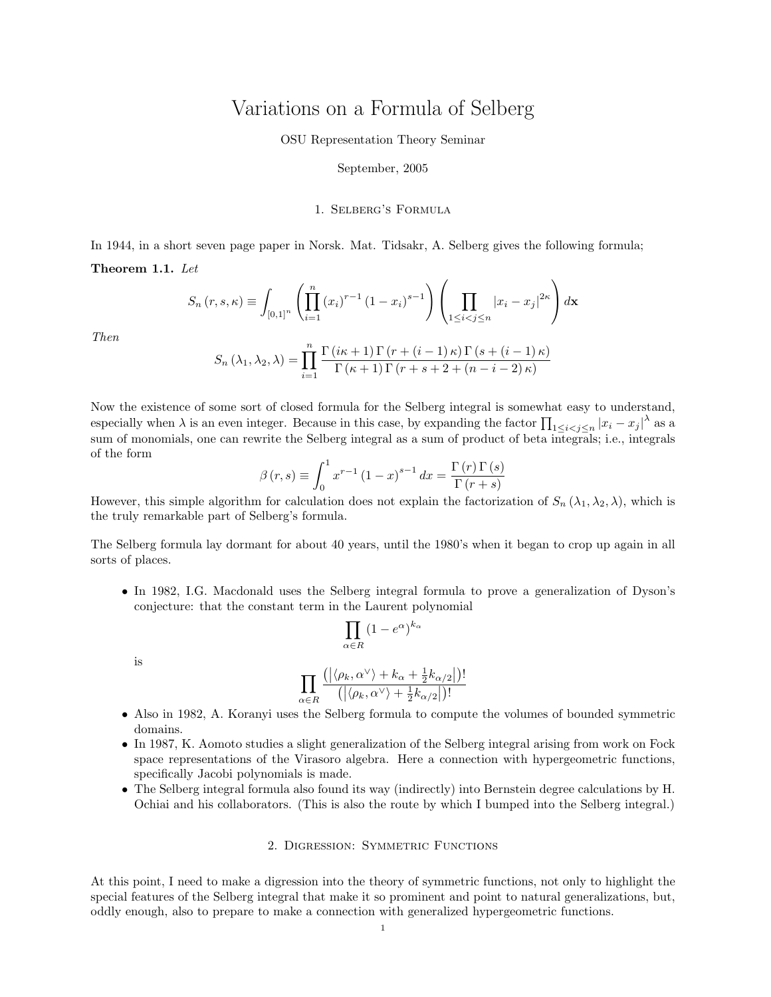# Variations on a Formula of Selberg

## OSU Representation Theory Seminar

#### September, 2005

# 1. Selberg's Formula

In 1944, in a short seven page paper in Norsk. Mat. Tidsakr, A. Selberg gives the following formula; Theorem 1.1. Let

$$
S_n(r, s, \kappa) \equiv \int_{[0,1]^n} \left( \prod_{i=1}^n (x_i)^{r-1} (1-x_i)^{s-1} \right) \left( \prod_{1 \le i < j \le n} |x_i - x_j|^{2\kappa} \right) d\mathbf{x}
$$

Then

$$
S_n(\lambda_1, \lambda_2, \lambda) = \prod_{i=1}^n \frac{\Gamma(i\kappa + 1)\Gamma(r + (i - 1)\kappa)\Gamma(s + (i - 1)\kappa)}{\Gamma(\kappa + 1)\Gamma(r + s + 2 + (n - i - 2)\kappa)}
$$

Now the existence of some sort of closed formula for the Selberg integral is somewhat easy to understand, especially when  $\lambda$  is an even integer. Because in this case, by expanding the factor  $\prod_{1 \leq i < j \leq n} |x_i - x_j|^{\lambda}$  as a sum of monomials, one can rewrite the Selberg integral as a sum of product of beta integrals; i.e., integrals of the form

$$
\beta(r,s) \equiv \int_0^1 x^{r-1} (1-x)^{s-1} dx = \frac{\Gamma(r) \Gamma(s)}{\Gamma(r+s)}
$$

However, this simple algorithm for calculation does not explain the factorization of  $S_n(\lambda_1, \lambda_2, \lambda)$ , which is the truly remarkable part of Selberg's formula.

The Selberg formula lay dormant for about 40 years, until the 1980's when it began to crop up again in all sorts of places.

• In 1982, I.G. Macdonald uses the Selberg integral formula to prove a generalization of Dyson's conjecture: that the constant term in the Laurent polynomial

$$
\prod_{\alpha \in R} \left( 1 - e^{\alpha} \right)^{k_{\alpha}}
$$

is

$$
\prod_{\alpha \in R} \frac{(|\langle \rho_k, \alpha^\vee \rangle + k_\alpha + \frac{1}{2} k_{\alpha/2}|)!}{(|\langle \rho_k, \alpha^\vee \rangle + \frac{1}{2} k_{\alpha/2}|)!}
$$

- Also in 1982, A. Koranyi uses the Selberg formula to compute the volumes of bounded symmetric domains.
- In 1987, K. Aomoto studies a slight generalization of the Selberg integral arising from work on Fock space representations of the Virasoro algebra. Here a connection with hypergeometric functions, specifically Jacobi polynomials is made.
- The Selberg integral formula also found its way (indirectly) into Bernstein degree calculations by H. Ochiai and his collaborators. (This is also the route by which I bumped into the Selberg integral.)

# 2. Digression: Symmetric Functions

At this point, I need to make a digression into the theory of symmetric functions, not only to highlight the special features of the Selberg integral that make it so prominent and point to natural generalizations, but, oddly enough, also to prepare to make a connection with generalized hypergeometric functions.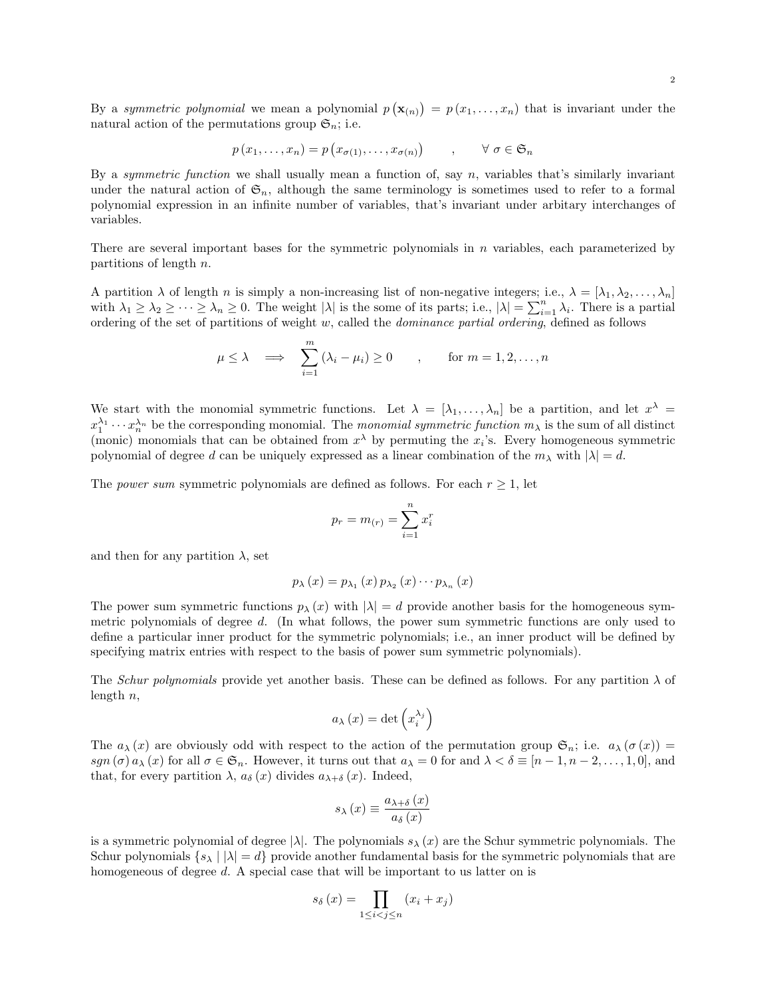By a symmetric polynomial we mean a polynomial  $p(\mathbf{x}_{(n)}) = p(x_1, \ldots, x_n)$  that is invariant under the natural action of the permutations group  $\mathfrak{S}_n$ ; i.e.

$$
p(x_1, \ldots, x_n) = p(x_{\sigma(1)}, \ldots, x_{\sigma(n)}) \qquad , \qquad \forall \sigma \in \mathfrak{S}_n
$$

By a symmetric function we shall usually mean a function of, say  $n$ , variables that's similarly invariant under the natural action of  $\mathfrak{S}_n$ , although the same terminology is sometimes used to refer to a formal polynomial expression in an infinite number of variables, that's invariant under arbitary interchanges of variables.

There are several important bases for the symmetric polynomials in  $n$  variables, each parameterized by partitions of length  $n$ .

A partition  $\lambda$  of length n is simply a non-increasing list of non-negative integers; i.e.,  $\lambda = [\lambda_1, \lambda_2, \ldots, \lambda_n]$ with  $\lambda_1 \geq \lambda_2 \geq \cdots \geq \lambda_n \geq 0$ . The weight  $|\lambda|$  is the some of its parts; i.e.,  $|\lambda| = \sum_{i=1}^n \lambda_i$ . There is a partial ordering of the set of partitions of weight  $w$ , called the *dominance partial ordering*, defined as follows

$$
\mu \le \lambda \quad \Longrightarrow \quad \sum_{i=1}^{m} \left( \lambda_i - \mu_i \right) \ge 0 \qquad , \qquad \text{for } m = 1, 2, \dots, n
$$

We start with the monomial symmetric functions. Let  $\lambda = [\lambda_1, \ldots, \lambda_n]$  be a partition, and let  $x^{\lambda}$  $x_1^{\lambda_1}\cdots x_n^{\lambda_n}$  be the corresponding monomial. The monomial symmetric function  $m_\lambda$  is the sum of all distinct (monic) monomials that can be obtained from  $x^{\lambda}$  by permuting the  $x_i$ 's. Every homogeneous symmetric polynomial of degree d can be uniquely expressed as a linear combination of the  $m_\lambda$  with  $|\lambda| = d$ .

The *power sum* symmetric polynomials are defined as follows. For each  $r \geq 1$ , let

$$
p_r = m_{(r)} = \sum_{i=1}^n x_i^r
$$

and then for any partition  $\lambda$ , set

$$
p_{\lambda}(x) = p_{\lambda_1}(x) p_{\lambda_2}(x) \cdots p_{\lambda_n}(x)
$$

The power sum symmetric functions  $p_{\lambda}(x)$  with  $|\lambda| = d$  provide another basis for the homogeneous symmetric polynomials of degree d. (In what follows, the power sum symmetric functions are only used to define a particular inner product for the symmetric polynomials; i.e., an inner product will be defined by specifying matrix entries with respect to the basis of power sum symmetric polynomials).

The Schur polynomials provide yet another basis. These can be defined as follows. For any partition  $\lambda$  of length  $n$ ,

$$
a_{\lambda}\left(x\right) = \det\left(x_i^{\lambda_j}\right)
$$

The  $a_{\lambda}(x)$  are obviously odd with respect to the action of the permutation group  $\mathfrak{S}_n$ ; i.e.  $a_{\lambda}(\sigma(x))$  = sgn  $(\sigma)$  a<sub>λ</sub>  $(x)$  for all  $\sigma \in \mathfrak{S}_n$ . However, it turns out that  $a_\lambda = 0$  for and  $\lambda < \delta \equiv [n-1, n-2, \ldots, 1, 0]$ , and that, for every partition  $\lambda$ ,  $a_{\delta}(x)$  divides  $a_{\lambda+\delta}(x)$ . Indeed,

$$
s_{\lambda}(x) \equiv \frac{a_{\lambda+\delta}(x)}{a_{\delta}(x)}
$$

is a symmetric polynomial of degree  $|\lambda|$ . The polynomials  $s_{\lambda}(x)$  are the Schur symmetric polynomials. The Schur polynomials  $\{s_\lambda \mid |\lambda| = d\}$  provide another fundamental basis for the symmetric polynomials that are homogeneous of degree d. A special case that will be important to us latter on is

$$
s_{\delta}(x) = \prod_{1 \leq i < j \leq n} (x_i + x_j)
$$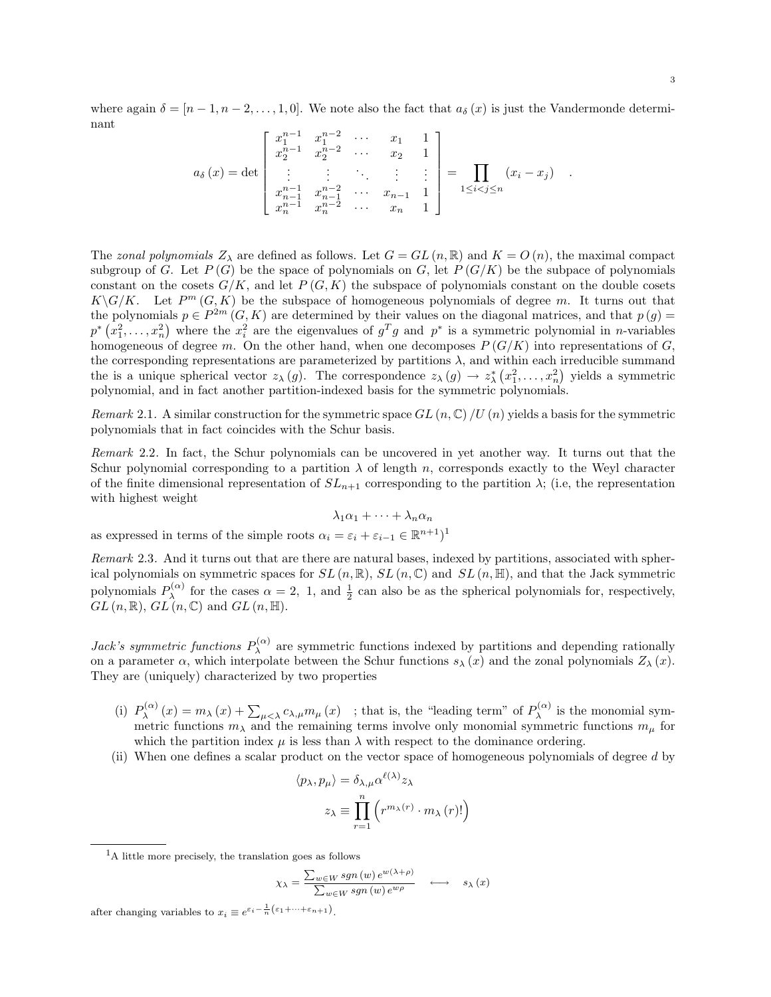$$
a_{\delta}(x) = \det \begin{bmatrix} x_1^{n-1} & x_1^{n-2} & \cdots & x_1 & 1 \\ x_2^{n-1} & x_2^{n-2} & \cdots & x_2 & 1 \\ \vdots & \vdots & \ddots & \vdots & \vdots \\ x_{n-1}^{n-1} & x_{n-1}^{n-2} & \cdots & x_{n-1} & 1 \\ x_n^{n-1} & x_n^{n-2} & \cdots & x_n & 1 \end{bmatrix} = \prod_{1 \le i < j \le n} (x_i - x_j) .
$$

The zonal polynomials  $Z_{\lambda}$  are defined as follows. Let  $G = GL(n, \mathbb{R})$  and  $K = O(n)$ , the maximal compact subgroup of G. Let  $P(G)$  be the space of polynomials on G, let  $P(G/K)$  be the subpace of polynomials constant on the cosets  $G/K$ , and let  $P(G, K)$  the subspace of polynomials constant on the double cosets  $K\backslash G/K$ . Let  $P^m(G,K)$  be the subspace of homogeneous polynomials of degree m. It turns out that the polynomials  $p \in P^{2m}(G,K)$  are determined by their values on the diagonal matrices, and that  $p(g)$  $p^*(x_1^2,\ldots,x_n^2)$  where the  $x_i^2$  are the eigenvalues of  $g^Tg$  and  $p^*$  is a symmetric polynomial in *n*-variables homogeneous of degree m. On the other hand, when one decomposes  $P(G/K)$  into representations of G, the corresponding representations are parameterized by partitions  $\lambda$ , and within each irreducible summand the is a unique spherical vector  $z_{\lambda}(g)$ . The correspondence  $z_{\lambda}(g) \to z_{\lambda}^{*}(x_1^2,\ldots,x_n^2)$  yields a symmetric polynomial, and in fact another partition-indexed basis for the symmetric polynomials.

Remark 2.1. A similar construction for the symmetric space  $GL(n, \mathbb{C})$  /U (n) yields a basis for the symmetric polynomials that in fact coincides with the Schur basis.

Remark 2.2. In fact, the Schur polynomials can be uncovered in yet another way. It turns out that the Schur polynomial corresponding to a partition  $\lambda$  of length n, corresponds exactly to the Weyl character of the finite dimensional representation of  $SL_{n+1}$  corresponding to the partition  $\lambda$ ; (i.e, the representation with highest weight

$$
\lambda_1\alpha_1+\cdots+\lambda_n\alpha_n
$$

as expressed in terms of the simple roots  $\alpha_i = \varepsilon_i + \varepsilon_{i-1} \in \mathbb{R}^{n+1}$ <sup>1</sup>

nant

Remark 2.3. And it turns out that are there are natural bases, indexed by partitions, associated with spherical polynomials on symmetric spaces for  $SL(n, \mathbb{R})$ ,  $SL(n, \mathbb{C})$  and  $SL(n, \mathbb{H})$ , and that the Jack symmetric polynomials  $P_{\lambda}^{(\alpha)}$  $\lambda^{(\alpha)}$  for the cases  $\alpha = 2, 1$ , and  $\frac{1}{2}$  can also be as the spherical polynomials for, respectively,  $GL(n,\mathbb{R}), GL(n,\mathbb{C})$  and  $GL(n,\mathbb{H}).$ 

Jack's symmetric functions  $P_{\lambda}^{(\alpha)}$  $\lambda^{(\alpha)}$  are symmetric functions indexed by partitions and depending rationally on a parameter  $\alpha$ , which interpolate between the Schur functions  $s_{\lambda}(x)$  and the zonal polynomials  $Z_{\lambda}(x)$ . They are (uniquely) characterized by two properties

- (i)  $P_{\lambda}^{(\alpha)}$  $\sum_{\lambda}^{(\alpha)}(x) = m_{\lambda}(x) + \sum_{\mu < \lambda} c_{\lambda,\mu} m_{\mu}(x)$ ; that is, the "leading term" of  $P_{\lambda}^{(\alpha)}$  $\lambda^{(\alpha)}$  is the monomial symmetric functions  $m_{\lambda}$  and the remaining terms involve only monomial symmetric functions  $m_{\mu}$  for which the partition index  $\mu$  is less than  $\lambda$  with respect to the dominance ordering.
- (ii) When one defines a scalar product on the vector space of homogeneous polynomials of degree d by

$$
\langle p_{\lambda}, p_{\mu} \rangle = \delta_{\lambda, \mu} \alpha^{\ell(\lambda)} z_{\lambda}
$$

$$
z_{\lambda} \equiv \prod_{r=1}^{n} \left( r^{m_{\lambda}(r)} \cdot m_{\lambda}(r)! \right)
$$

<sup>1</sup>A little more precisely, the translation goes as follows

$$
\chi_{\lambda} = \frac{\sum_{w \in W} sgn(w) e^{w(\lambda + \rho)}}{\sum_{w \in W} sgn(w) e^{w\rho}} \quad \longleftrightarrow \quad s_{\lambda}(x)
$$

after changing variables to  $x_i \equiv e^{\varepsilon_i - \frac{1}{n} (\varepsilon_1 + \dots + \varepsilon_{n+1})}$ .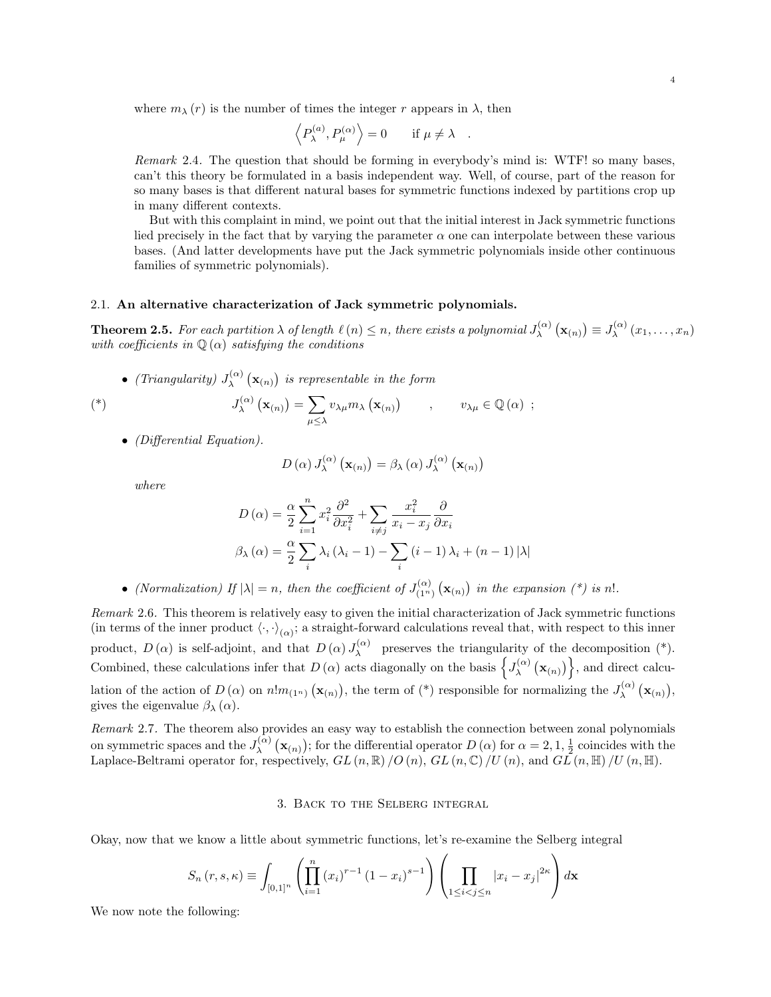where  $m_{\lambda}(r)$  is the number of times the integer r appears in  $\lambda$ , then

$$
\langle P_{\lambda}^{(a)}, P_{\mu}^{(\alpha)} \rangle = 0
$$
 if  $\mu \neq \lambda$ .

Remark 2.4. The question that should be forming in everybody's mind is: WTF! so many bases, can't this theory be formulated in a basis independent way. Well, of course, part of the reason for so many bases is that different natural bases for symmetric functions indexed by partitions crop up in many different contexts.

But with this complaint in mind, we point out that the initial interest in Jack symmetric functions lied precisely in the fact that by varying the parameter  $\alpha$  one can interpolate between these various bases. (And latter developments have put the Jack symmetric polynomials inside other continuous families of symmetric polynomials).

#### 2.1. An alternative characterization of Jack symmetric polynomials.

**Theorem 2.5.** For each partition  $\lambda$  of length  $\ell(n) \leq n$ , there exists a polynomial  $J_{\lambda}^{(\alpha)}$  $J_\lambda^{(\alpha)}\left(\mathbf{x}_{(n)}\right)\equiv J_\lambda^{(\alpha)}$  $\lambda^{(\alpha)}(x_1,\ldots,x_n)$ with coefficients in  $\mathbb{Q}(\alpha)$  satisfying the conditions

• (Triangularity)  $J_{\lambda}^{(\alpha)}$  $\chi_{\lambda}^{(\alpha)}\left(\mathbf{x}_{(n)}\right)$  is representable in the form

$$
J_{\lambda}^{(\alpha)}\left(\mathbf{x}_{(n)}\right) = \sum_{\mu \leq \lambda} v_{\lambda\mu} m_{\lambda}\left(\mathbf{x}_{(n)}\right) \qquad , \qquad v_{\lambda\mu} \in \mathbb{Q}(\alpha) ;
$$

• (Differential Equation).

$$
D(\alpha) J_{\lambda}^{(\alpha)} (\mathbf{x}_{(n)}) = \beta_{\lambda} (\alpha) J_{\lambda}^{(\alpha)} (\mathbf{x}_{(n)})
$$

where

$$
D(\alpha) = \frac{\alpha}{2} \sum_{i=1}^{n} x_i^2 \frac{\partial^2}{\partial x_i^2} + \sum_{i \neq j} \frac{x_i^2}{x_i - x_j} \frac{\partial}{\partial x_i}
$$

$$
\beta_{\lambda}(\alpha) = \frac{\alpha}{2} \sum_{i} \lambda_i (\lambda_i - 1) - \sum_{i} (i - 1) \lambda_i + (n - 1) |\lambda|
$$

• (Normalization) If  $|\lambda| = n$ , then the coefficient of  $J_{(1n)}^{(\alpha)}$  $\binom{(\alpha)}{(1^n)} (\mathbf{x}_{(n)})$  in the expansion (\*) is n!.

Remark 2.6. This theorem is relatively easy to given the initial characterization of Jack symmetric functions (in terms of the inner product  $\langle \cdot, \cdot \rangle_{(\alpha)}$ ; a straight-forward calculations reveal that, with respect to this inner product,  $D(\alpha)$  is self-adjoint, and that  $D(\alpha) J_{\lambda}^{(\alpha)}$  $\lambda^{\alpha}$  preserves the triangularity of the decomposition  $(*)$ . Combined, these calculations infer that  $D(\alpha)$  acts diagonally on the basis  $\left\{J_{\lambda}^{(\alpha)}\right\}$  $\left\{\mathbf{x}_{(n)}\right\}$ , and direct calculation of the action of  $D(\alpha)$  on  $n!m_{(1^n)}(\mathbf{x}_{(n)})$ , the term of (\*) responsible for normalizing the  $J_\lambda^{(\alpha)}$  $\chi^{(\alpha)}\left(\mathbf{x}_{(n)}\right),$ gives the eigenvalue  $\beta_{\lambda}(\alpha)$ .

Remark 2.7. The theorem also provides an easy way to establish the connection between zonal polynomials on symmetric spaces and the  $J_{\lambda}^{(\alpha)}$  $\chi^{(\alpha)}$   $(\mathbf{x}_{(n)})$ ; for the differential operator D  $(\alpha)$  for  $\alpha = 2, 1, \frac{1}{2}$  coincides with the Laplace-Beltrami operator for, respectively,  $GL(n,\mathbb{R})$  /O  $(n)$ ,  $GL(n,\mathbb{C})$  /U  $(n)$ , and  $GL(n,\mathbb{H})$  /U  $(n,\mathbb{H})$ .

# 3. Back to the Selberg integral

Okay, now that we know a little about symmetric functions, let's re-examine the Selberg integral

$$
S_n(r, s, \kappa) \equiv \int_{[0,1]^n} \left( \prod_{i=1}^n (x_i)^{r-1} (1-x_i)^{s-1} \right) \left( \prod_{1 \le i < j \le n} |x_i - x_j|^{2\kappa} \right) d\mathbf{x}
$$

We now note the following: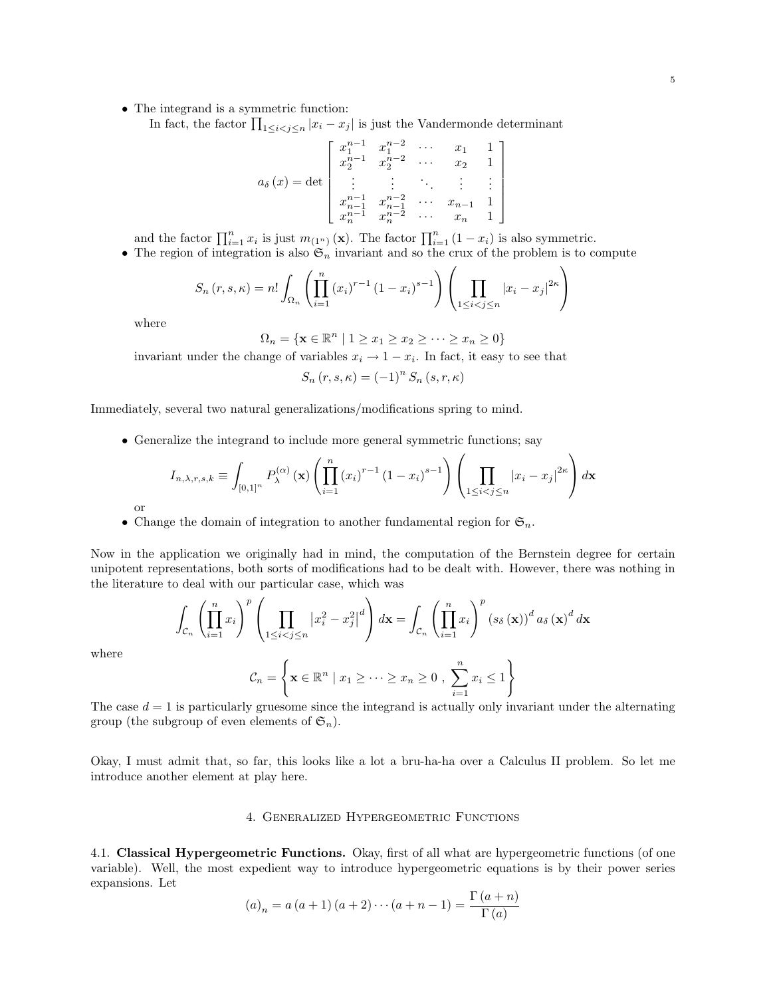• The integrand is a symmetric function:

In fact, the factor  $\prod_{1 \leq i < j \leq n} |x_i - x_j|$  is just the Vandermonde determinant

$$
a_{\delta}\left(x\right) = \det \left[ \begin{array}{ccccc} x_{1}^{n-1} & x_{1}^{n-2} & \cdots & x_{1} & 1 \\ x_{2}^{n-1} & x_{2}^{n-2} & \cdots & x_{2} & 1 \\ \vdots & \vdots & \ddots & \vdots & \vdots \\ x_{n-1}^{n-1} & x_{n-1}^{n-2} & \cdots & x_{n-1} & 1 \\ x_{n}^{n-1} & x_{n}^{n-2} & \cdots & x_{n} & 1 \end{array} \right]
$$

and the factor  $\prod_{i=1}^n x_i$  is just  $m_{(1^n)}(\mathbf{x})$ . The factor  $\prod_{i=1}^n (1-x_i)$  is also symmetric.

• The region of integration is also  $\mathfrak{S}_n$  invariant and so the crux of the problem is to compute

$$
S_n(r, s, \kappa) = n! \int_{\Omega_n} \left( \prod_{i=1}^n (x_i)^{r-1} (1-x_i)^{s-1} \right) \left( \prod_{1 \le i < j \le n} |x_i - x_j|^{2\kappa} \right)
$$

where

 $\Omega_n = \{ \mathbf{x} \in \mathbb{R}^n \mid 1 \geq x_1 \geq x_2 \geq \cdots \geq x_n \geq 0 \}$ 

invariant under the change of variables  $x_i \to 1 - x_i$ . In fact, it easy to see that

 $S_n(r, s, \kappa) = (-1)^n S_n(s, r, \kappa)$ 

Immediately, several two natural generalizations/modifications spring to mind.

• Generalize the integrand to include more general symmetric functions; say

$$
I_{n,\lambda,r,s,k} \equiv \int_{[0,1]^n} P_{\lambda}^{(\alpha)}(\mathbf{x}) \left( \prod_{i=1}^n (x_i)^{r-1} (1-x_i)^{s-1} \right) \left( \prod_{1 \le i < j \le n} |x_i - x_j|^{2\kappa} \right) d\mathbf{x}
$$

- or
- Change the domain of integration to another fundamental region for  $\mathfrak{S}_n$ .

Now in the application we originally had in mind, the computation of the Bernstein degree for certain unipotent representations, both sorts of modifications had to be dealt with. However, there was nothing in the literature to deal with our particular case, which was

$$
\int_{\mathcal{C}_n} \left( \prod_{i=1}^n x_i \right)^p \left( \prod_{1 \le i < j \le n} \left| x_i^2 - x_j^2 \right|^d \right) d\mathbf{x} = \int_{\mathcal{C}_n} \left( \prod_{i=1}^n x_i \right)^p \left( s_\delta \left( \mathbf{x} \right) \right)^d a_\delta \left( \mathbf{x} \right)^d d\mathbf{x}
$$

where

$$
\mathcal{C}_n = \left\{ \mathbf{x} \in \mathbb{R}^n \mid x_1 \geq \cdots \geq x_n \geq 0 , \sum_{i=1}^n x_i \leq 1 \right\}
$$

The case  $d = 1$  is particularly gruesome since the integrand is actually only invariant under the alternating group (the subgroup of even elements of  $\mathfrak{S}_n$ ).

Okay, I must admit that, so far, this looks like a lot a bru-ha-ha over a Calculus II problem. So let me introduce another element at play here.

## 4. Generalized Hypergeometric Functions

4.1. Classical Hypergeometric Functions. Okay, first of all what are hypergeometric functions (of one variable). Well, the most expedient way to introduce hypergeometric equations is by their power series expansions. Let

$$
(a)_n = a (a+1) (a+2) \cdots (a+n-1) = \frac{\Gamma(a+n)}{\Gamma(a)}
$$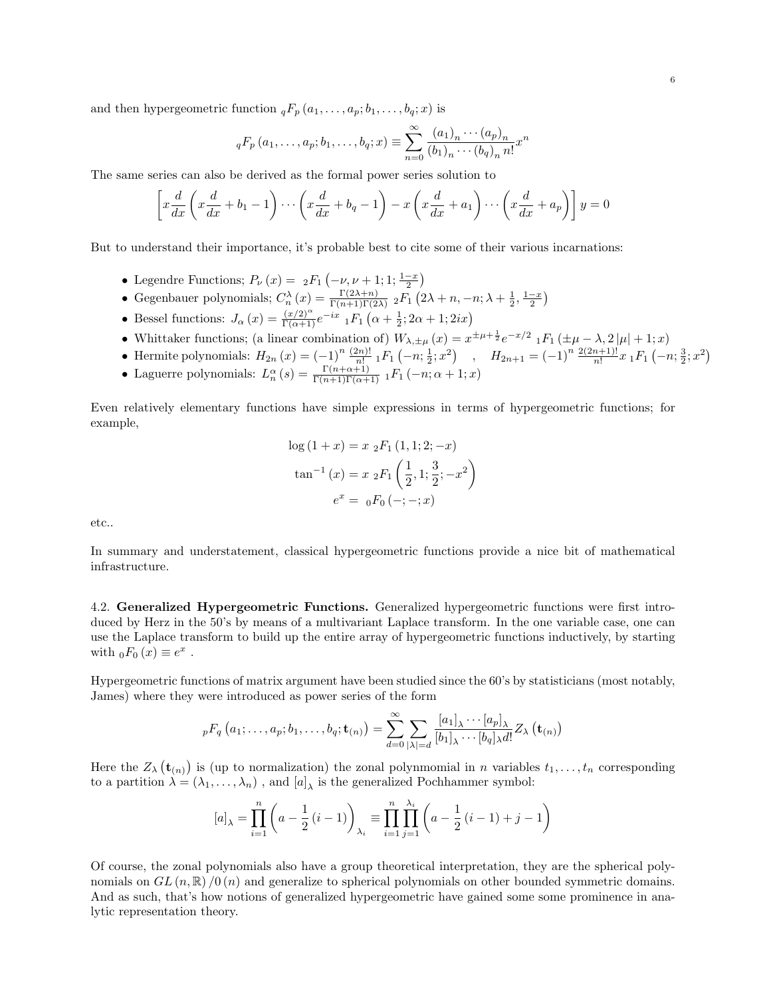and then hypergeometric function  ${}_{q}F_{p}(a_1,\ldots,a_p;b_1,\ldots,b_q;x)$  is

$$
{}_{q}F_{p}(a_{1},...,a_{p};b_{1},...,b_{q};x) \equiv \sum_{n=0}^{\infty} \frac{(a_{1})_{n} \cdots (a_{p})_{n}}{(b_{1})_{n} \cdots (b_{q})_{n} n!}x^{n}
$$

The same series can also be derived as the formal power series solution to

$$
\left[x\frac{d}{dx}\left(x\frac{d}{dx}+b_1-1\right)\cdots\left(x\frac{d}{dx}+b_q-1\right)-x\left(x\frac{d}{dx}+a_1\right)\cdots\left(x\frac{d}{dx}+a_p\right)\right]y=0
$$

But to understand their importance, it's probable best to cite some of their various incarnations:

- Legendre Functions;  $P_{\nu}(x) = 2F_1(-\nu, \nu + 1; 1; \frac{1-x}{2})$
- Gegenbauer polynomials;  $C_n^{\lambda}(x) = \frac{\Gamma(2\lambda+n)}{\Gamma(n+1)\Gamma(2\lambda)} 2F_1(2\lambda+n, -n; \lambda+\frac{1}{2}, \frac{1-x}{2})$
- Bessel functions:  $J_{\alpha}(x) = \frac{(x/2)^{\alpha}}{\Gamma(\alpha+1)} e^{-ix} {}_{1}F_{1}(\alpha + \frac{1}{2}; 2\alpha + 1; 2ix)$
- Whittaker functions; (a linear combination of)  $W_{\lambda,\pm\mu}(x) = x^{\pm\mu+\frac{1}{2}}e^{-x/2}$   $_1F_1(\pm\mu-\lambda,2|\mu|+1;x)$
- Hermite polynomials:  $H_{2n}(x) = (-1)^n \frac{(2n)!}{n!} {}_1F_1(-n; \frac{1}{2}; x^2)$ ,  $H_{2n+1} = (-1)^n \frac{2(2n+1)!}{n!} x {}_1F_1(-n; \frac{3}{2}; x^2)$
- Laguerre polynomials:  $L_n^{\alpha}(s) = \frac{\Gamma(n+\alpha+1)}{\Gamma(n+1)\Gamma(\alpha+1)} 1F_1(-n; \alpha+1; x)$

Even relatively elementary functions have simple expressions in terms of hypergeometric functions; for example,

$$
\log (1 + x) = x \, {}_{2}F_{1} (1, 1; 2; -x)
$$

$$
\tan^{-1} (x) = x \, {}_{2}F_{1} \left(\frac{1}{2}, 1; \frac{3}{2}; -x^{2}\right)
$$

$$
e^{x} = {}_{0}F_{0} (-; -; x)
$$

etc..

In summary and understatement, classical hypergeometric functions provide a nice bit of mathematical infrastructure.

4.2. Generalized Hypergeometric Functions. Generalized hypergeometric functions were first introduced by Herz in the 50's by means of a multivariant Laplace transform. In the one variable case, one can use the Laplace transform to build up the entire array of hypergeometric functions inductively, by starting with  $_0F_0(x) \equiv e^x$ .

Hypergeometric functions of matrix argument have been studied since the 60's by statisticians (most notably, James) where they were introduced as power series of the form

$$
{}_{p}F_{q}\left(a_{1};\ldots,a_{p};b_{1},\ldots,b_{q};\mathbf{t}_{(n)}\right)=\sum_{d=0}^{\infty}\sum_{|\lambda|=d}\frac{\left[a_{1}\right]_{\lambda}\cdots\left[a_{p}\right]_{\lambda}}{\left[b_{1}\right]_{\lambda}\cdots\left[b_{q}\right]_{\lambda}d!}Z_{\lambda}\left(\mathbf{t}_{(n)}\right)
$$

Here the  $Z_{\lambda}(\mathbf{t}_{(n)})$  is (up to normalization) the zonal polynmomial in n variables  $t_1, \ldots, t_n$  corresponding to a partition  $\lambda = (\lambda_1, \dots, \lambda_n)$ , and  $[a]_{\lambda}$  is the generalized Pochhammer symbol:

$$
[a]_{\lambda} = \prod_{i=1}^{n} \left( a - \frac{1}{2} \left( i - 1 \right) \right)_{\lambda_i} \equiv \prod_{i=1}^{n} \prod_{j=1}^{\lambda_i} \left( a - \frac{1}{2} \left( i - 1 \right) + j - 1 \right)
$$

Of course, the zonal polynomials also have a group theoretical interpretation, they are the spherical polynomials on  $GL(n,\mathbb{R})$  /0 (n) and generalize to spherical polynomials on other bounded symmetric domains. And as such, that's how notions of generalized hypergeometric have gained some some prominence in analytic representation theory.